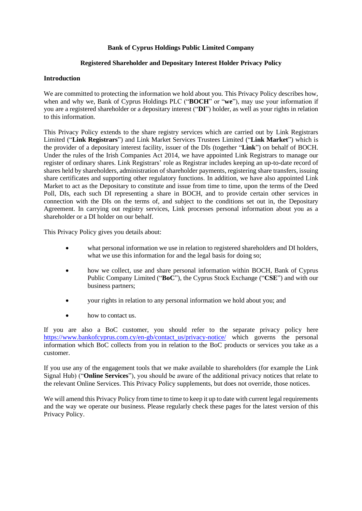## **Bank of Cyprus Holdings Public Limited Company**

## **Registered Shareholder and Depositary Interest Holder Privacy Policy**

## **Introduction**

We are committed to protecting the information we hold about you. This Privacy Policy describes how, when and why we, Bank of Cyprus Holdings PLC ("**BOCH**" or "**we**"), may use your information if you are a registered shareholder or a depositary interest ("**DI**") holder, as well as your rights in relation to this information.

This Privacy Policy extends to the share registry services which are carried out by Link Registrars Limited ("**Link Registrars**") and Link Market Services Trustees Limited ("**Link Market**") which is the provider of a depositary interest facility, issuer of the DIs (together "**Link**") on behalf of BOCH. Under the rules of the Irish Companies Act 2014, we have appointed Link Registrars to manage our register of ordinary shares. Link Registrars' role as Registrar includes keeping an up-to-date record of shares held by shareholders, administration of shareholder payments, registering share transfers, issuing share certificates and supporting other regulatory functions. In addition, we have also appointed Link Market to act as the Depositary to constitute and issue from time to time, upon the terms of the Deed Poll, DIs, each such DI representing a share in BOCH, and to provide certain other services in connection with the DIs on the terms of, and subject to the conditions set out in, the Depositary Agreement. In carrying out registry services, Link processes personal information about you as a shareholder or a DI holder on our behalf.

This Privacy Policy gives you details about:

- what personal information we use in relation to registered shareholders and DI holders, what we use this information for and the legal basis for doing so;
- how we collect, use and share personal information within BOCH, Bank of Cyprus Public Company Limited ("**BoC**"), the Cyprus Stock Exchange ("**CSE**") and with our business partners;
- your rights in relation to any personal information we hold about you; and
- how to contact us.

If you are also a BoC customer, you should refer to the separate privacy policy here [https://www.bankofcyprus.com.cy/en-gb/contact\\_us/privacy-notice/](https://www.bankofcyprus.com.cy/en-gb/contact_us/privacy-notice/) which governs the personal information which BoC collects from you in relation to the BoC products or services you take as a customer.

If you use any of the engagement tools that we make available to shareholders (for example the Link Signal Hub) ("**Online Services**"), you should be aware of the additional privacy notices that relate to the relevant Online Services. This Privacy Policy supplements, but does not override, those notices.

We will amend this Privacy Policy from time to time to keep it up to date with current legal requirements and the way we operate our business. Please regularly check these pages for the latest version of this Privacy Policy.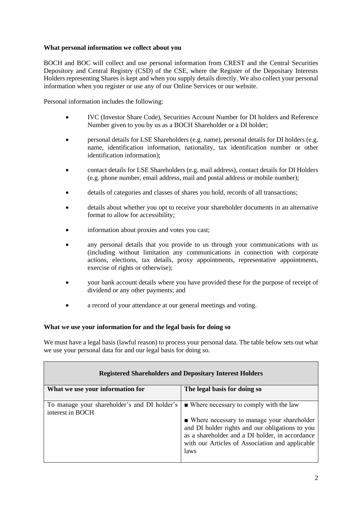# **What personal information we collect about you**

BOCH and BOC will collect and use personal information from CREST and the Central Securities Depository and Central Registry (CSD) of the CSE, where the Register of the Depositary Interests Holders representing Shares is kept and when you supply details directly. We also collect your personal information when you register or use any of our Online Services or our website.

Personal information includes the following:

- IVC (Investor Share Code), Securities Account Number for DI holders and Reference Number given to you by us as a BOCH Shareholder or a DI holder;
- personal details for LSE Shareholders (e.g. name), personal details for DI holders (e.g. name, identification information, nationality, tax identification number or other identification information);
- contact details for LSE Shareholders (e.g. mail address), contact details for DI Holders (e.g. phone number, email address, mail and postal address or mobile number);
- details of categories and classes of shares you hold, records of all transactions;
- details about whether you opt to receive your shareholder documents in an alternative format to allow for accessibility;
- information about proxies and votes you cast;
- any personal details that you provide to us through your communications with us (including without limitation any communications in connection with corporate actions, elections, tax details, proxy appointments, representative appointments, exercise of rights or otherwise);
- your bank account details where you have provided these for the purpose of receipt of dividend or any other payments; and
- a record of your attendance at our general meetings and voting.

### **What we use your information for and the legal basis for doing so**

We must have a legal basis (lawful reason) to process your personal data. The table below sets out what we use your personal data for and our legal basis for doing so.

| <b>Registered Shareholders and Depositary Interest Holders</b> |                                                       |
|----------------------------------------------------------------|-------------------------------------------------------|
| What we use your information for                               | The legal basis for doing so                          |
|                                                                |                                                       |
| To manage your shareholder's and DI holder's                   | $\blacksquare$ Where necessary to comply with the law |
| interest in BOCH                                               |                                                       |
|                                                                | • Where necessary to manage your shareholder          |
|                                                                | and DI holder rights and our obligations to you       |
|                                                                | as a shareholder and a DI holder, in accordance       |
|                                                                | with our Articles of Association and applicable       |
|                                                                | laws                                                  |
|                                                                |                                                       |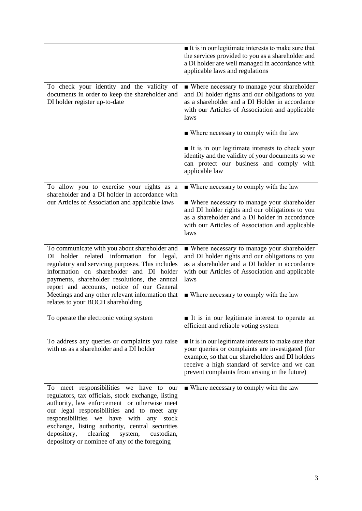|                                                                                                                                                                                                                                                                                                                                                                                                            | $\blacksquare$ It is in our legitimate interests to make sure that<br>the services provided to you as a shareholder and<br>a DI holder are well managed in accordance with<br>applicable laws and regulations                                                                 |
|------------------------------------------------------------------------------------------------------------------------------------------------------------------------------------------------------------------------------------------------------------------------------------------------------------------------------------------------------------------------------------------------------------|-------------------------------------------------------------------------------------------------------------------------------------------------------------------------------------------------------------------------------------------------------------------------------|
| To check your identity and the validity of<br>documents in order to keep the shareholder and<br>DI holder register up-to-date                                                                                                                                                                                                                                                                              | • Where necessary to manage your shareholder<br>and DI holder rights and our obligations to you<br>as a shareholder and a DI Holder in accordance<br>with our Articles of Association and applicable<br>laws                                                                  |
|                                                                                                                                                                                                                                                                                                                                                                                                            | • Where necessary to comply with the law                                                                                                                                                                                                                                      |
|                                                                                                                                                                                                                                                                                                                                                                                                            | It is in our legitimate interests to check your<br>identity and the validity of your documents so we<br>can protect our business and comply with<br>applicable law                                                                                                            |
| To allow you to exercise your rights as a<br>shareholder and a DI holder in accordance with                                                                                                                                                                                                                                                                                                                | $\blacksquare$ Where necessary to comply with the law                                                                                                                                                                                                                         |
| our Articles of Association and applicable laws                                                                                                                                                                                                                                                                                                                                                            | • Where necessary to manage your shareholder<br>and DI holder rights and our obligations to you<br>as a shareholder and a DI holder in accordance<br>with our Articles of Association and applicable<br>laws                                                                  |
| To communicate with you about shareholder and<br>holder related information for legal,<br>DI<br>regulatory and servicing purposes. This includes<br>information on shareholder and DI holder<br>payments, shareholder resolutions, the annual<br>report and accounts, notice of our General<br>Meetings and any other relevant information that<br>relates to your BOCH shareholding                       | • Where necessary to manage your shareholder<br>and DI holder rights and our obligations to you<br>as a shareholder and a DI holder in accordance<br>with our Articles of Association and applicable<br>laws<br>• Where necessary to comply with the law                      |
| To operate the electronic voting system                                                                                                                                                                                                                                                                                                                                                                    | It is in our legitimate interest to operate an<br>efficient and reliable voting system                                                                                                                                                                                        |
| To address any queries or complaints you raise<br>with us as a shareholder and a DI holder                                                                                                                                                                                                                                                                                                                 | $\blacksquare$ It is in our legitimate interests to make sure that<br>your queries or complaints are investigated (for<br>example, so that our shareholders and DI holders<br>receive a high standard of service and we can<br>prevent complaints from arising in the future) |
| To meet responsibilities we have to our<br>regulators, tax officials, stock exchange, listing<br>authority, law enforcement or otherwise meet<br>our legal responsibilities and to meet any<br>responsibilities we<br>have<br>with<br>any<br>stock<br>exchange, listing authority, central securities<br>depository,<br>clearing<br>system,<br>custodian,<br>depository or nominee of any of the foregoing | ■ Where necessary to comply with the law                                                                                                                                                                                                                                      |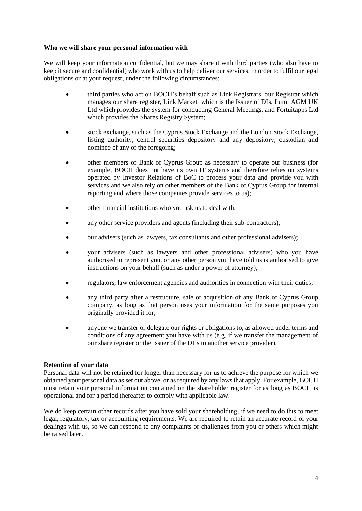### **Who we will share your personal information with**

We will keep your information confidential, but we may share it with third parties (who also have to keep it secure and confidential) who work with us to help deliver our services, in order to fulfil our legal obligations or at your request, under the following circumstances:

- third parties who act on BOCH's behalf such as Link Registrars, our Registrar which manages our share register, Link Market which is the Issuer of DIs, Lumi AGM UK Ltd which provides the system for conducting General Meetings, and Fortuitapps Ltd which provides the Shares Registry System;
- stock exchange, such as the Cyprus Stock Exchange and the London Stock Exchange, listing authority, central securities depository and any depository, custodian and nominee of any of the foregoing;
- other members of Bank of Cyprus Group as necessary to operate our business (for example, BOCH does not have its own IT systems and therefore relies on systems operated by Investor Relations of BoC to process your data and provide you with services and we also rely on other members of the Bank of Cyprus Group for internal reporting and where those companies provide services to us);
- other financial institutions who you ask us to deal with;
- any other service providers and agents (including their sub-contractors);
- our advisers (such as lawyers, tax consultants and other professional advisers);
- your advisers (such as lawyers and other professional advisers) who you have authorised to represent you, or any other person you have told us is authorised to give instructions on your behalf (such as under a power of attorney);
- regulators, law enforcement agencies and authorities in connection with their duties;
- any third party after a restructure, sale or acquisition of any Bank of Cyprus Group company, as long as that person uses your information for the same purposes you originally provided it for;
- anyone we transfer or delegate our rights or obligations to, as allowed under terms and conditions of any agreement you have with us (e.g. if we transfer the management of our share register or the Issuer of the DI's to another service provider).

### **Retention of your data**

Personal data will not be retained for longer than necessary for us to achieve the purpose for which we obtained your personal data as set out above, or as required by any laws that apply. For example, BOCH must retain your personal information contained on the shareholder register for as long as BOCH is operational and for a period thereafter to comply with applicable law.

We do keep certain other records after you have sold your shareholding, if we need to do this to meet legal, regulatory, tax or accounting requirements. We are required to retain an accurate record of your dealings with us, so we can respond to any complaints or challenges from you or others which might be raised later.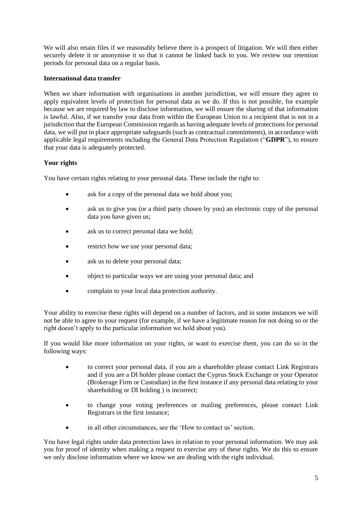We will also retain files if we reasonably believe there is a prospect of litigation. We will then either securely delete it or anonymise it so that it cannot be linked back to you. We review our retention periods for personal data on a regular basis.

# **International data transfer**

When we share information with organisations in another jurisdiction, we will ensure they agree to apply equivalent levels of protection for personal data as we do. If this is not possible, for example because we are required by law to disclose information, we will ensure the sharing of that information is lawful. Also, if we transfer your data from within the European Union to a recipient that is not in a jurisdiction that the European Commission regards as having adequate levels of protections for personal data, we will put in place appropriate safeguards (such as contractual commitments), in accordance with applicable legal requirements including the General Data Protection Regulation ("**GDPR**"), to ensure that your data is adequately protected.

# **Your rights**

You have certain rights relating to your personal data. These include the right to:

- ask for a copy of the personal data we hold about you:
- ask us to give you (or a third party chosen by you) an electronic copy of the personal data you have given us;
- ask us to correct personal data we hold:
- restrict how we use your personal data;
- ask us to delete your personal data;
- object to particular ways we are using your personal data; and
- complain to your local data protection authority.

Your ability to exercise these rights will depend on a number of factors, and in some instances we will not be able to agree to your request (for example, if we have a legitimate reason for not doing so or the right doesn't apply to the particular information we hold about you).

If you would like more information on your rights, or want to exercise them, you can do so in the following ways:

- to correct your personal data, if you are a shareholder please contact Link Registrars and if you are a DI holder please contact the Cyprus Stock Exchange or your Operator (Brokerage Firm or Custodian) in the first instance if any personal data relating to your shareholding or DI holding ) is incorrect;
- to change your voting preferences or mailing preferences, please contact Link Registrars in the first instance;
- in all other circumstances, see the 'How to contact us' section.

You have legal rights under data protection laws in relation to your personal information. We may ask you for proof of identity when making a request to exercise any of these rights. We do this to ensure we only disclose information where we know we are dealing with the right individual.